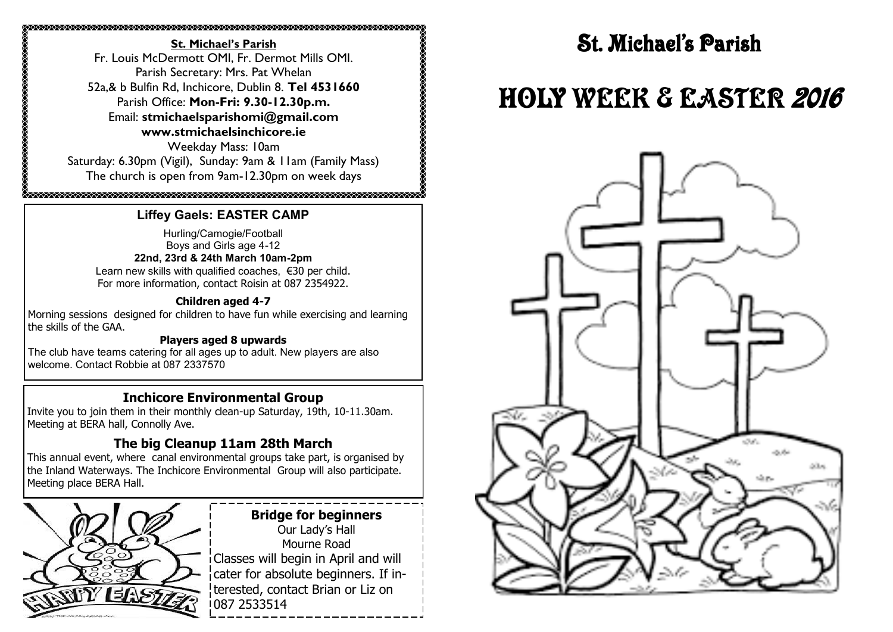#### **St. Michael's Parish** Fr. Louis McDermott OMI, Fr. Dermot Mills OMI. Parish Secretary: Mrs. Pat Whelan 52a,& b Bulfin Rd, Inchicore, Dublin 8. **Tel 4531660** Parish Office: **Mon-Fri: 9.30-12.30p.m.** Email: **stmichaelsparishomi@gmail.com www.stmichaelsinchicore.ie** Weekday Mass: 10am Saturday: 6.30pm (Vigil), Sunday: 9am & 11am (Family Mass) The church is open from 9am-12.30pm on week days

## k<br>karananan karanan karanan karanan karanan karanan karanan karanan karanan karanan karanan karanan karanan kara **Liffey Gaels: EASTER CAMP**

Hurling/Camogie/Football Boys and Girls age 4-12

**22nd, 23rd & 24th March 10am-2pm** Learn new skills with qualified coaches, €30 per child. For more information, contact Roisin at 087 2354922.

#### **Children aged 4-7**

Morning sessions designed for children to have fun while exercising and learning the skills of the GAA.

#### **Players aged 8 upwards**

The club have teams catering for all ages up to adult. New players are also welcome. Contact Robbie at 087 2337570

## **Inchicore Environmental Group**

Invite you to join them in their monthly clean-up Saturday, 19th, 10-11.30am. Meeting at BERA hall, Connolly Ave.

## **The big Cleanup 11am 28th March**

This annual event, where canal environmental groups take part, is organised by the Inland Waterways. The Inchicore Environmental Group will also participate. Meeting place BERA Hall.



**Bridge for beginners** Our Lady's Hall Mourne Road Classes will begin in April and will cater for absolute beginners. If interested, contact Brian or Liz on 2533514

# **St. Michael's Parish**

# HOLY WEEK & EASTER 2016